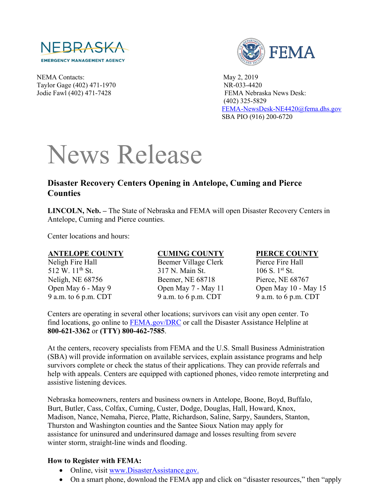

NEMA Contacts: May 2, 2019 Taylor Gage (402) 471-1970 NR-033-4420



Jodie Fawl (402) 471-7428 FEMA Nebraska News Desk: (402) 325-5829 [FEMA-NewsDesk-NE4420@fema.dhs.gov](mailto:FEMA-NewsDesk-NE4420@fema.dhs.gov) SBA PIO (916) 200-6720

# News Release

## **Disaster Recovery Centers Opening in Antelope, Cuming and Pierce Counties**

**LINCOLN, Neb. –** The State of Nebraska and FEMA will open Disaster Recovery Centers in Antelope, Cuming and Pierce counties.

Center locations and hours:

#### **ANTELOPE COUNTY**

Neligh Fire Hall 512 W. 11<sup>th</sup> St. Neligh, NE 68756 Open May 6 - May 9 9 a.m. to 6 p.m. CDT

### **CUMING COUNTY**

Beemer Village Clerk 317 N. Main St. Beemer, NE 68718 Open May 7 - May 11 9 a.m. to 6 p.m. CDT

#### **PIERCE COUNTY**

Pierce Fire Hall 106 S. 1st St. Pierce, NE 68767 Open May 10 - May 15 9 a.m. to 6 p.m. CDT

Centers are operating in several other locations; survivors can visit any open center. To find locations, go online to [FEMA.gov/DRC](http://www.fema.gov/DRC) or call the Disaster Assistance Helpline at **800-621-3362** or **(TTY) 800-462-7585**.

At the centers, recovery specialists from FEMA and the U.S. Small Business Administration (SBA) will provide information on available services, explain assistance programs and help survivors complete or check the status of their applications. They can provide referrals and help with appeals. Centers are equipped with captioned phones, video remote interpreting and assistive listening devices.

Nebraska homeowners, renters and business owners in Antelope, Boone, Boyd, Buffalo, Burt, Butler, Cass, Colfax, Cuming, Custer, Dodge, Douglas, Hall, Howard, Knox, Madison, Nance, Nemaha, Pierce, Platte, Richardson, Saline, Sarpy, Saunders, Stanton, Thurston and Washington counties and the Santee Sioux Nation may apply for assistance for uninsured and underinsured damage and losses resulting from severe winter storm, straight-line winds and flooding.

### **How to Register with FEMA:**

- Online, visit [www.DisasterAssistance.gov.](http://www.disasterassistance.gov/)
- On a smart phone, download the FEMA app and click on "disaster resources," then "apply